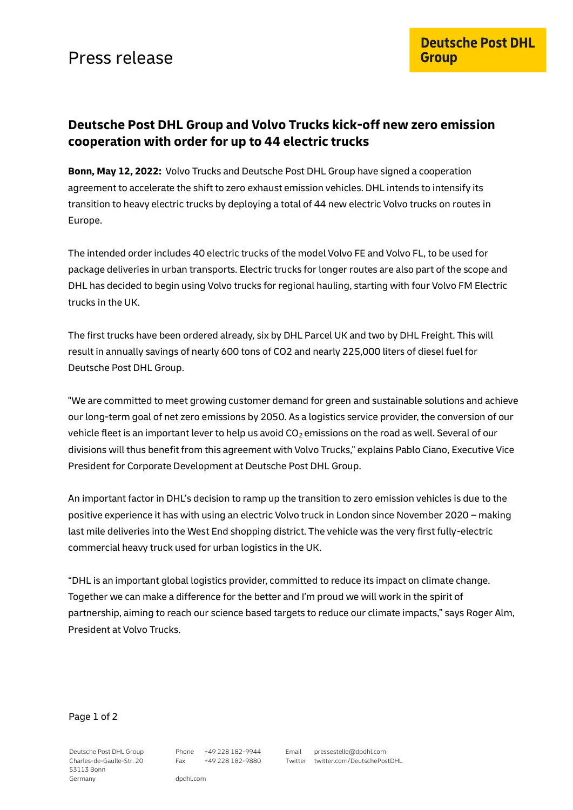## **Deutsche Post DHL Group and Volvo Trucks kick-off new zero emission cooperation with order for up to 44 electric trucks**

**Bonn, May 12, 2022:** Volvo Trucks and Deutsche Post DHL Group have signed a cooperation agreement to accelerate the shift to zero exhaust emission vehicles. DHL intends to intensify its transition to heavy electric trucks by deploying a total of 44 new electric Volvo trucks on routes in Europe.

The intended order includes 40 electric trucks of the model Volvo FE and Volvo FL, to be used for package deliveries in urban transports. Electric trucks for longer routes are also part of the scope and DHL has decided to begin using Volvo trucks for regional hauling, starting with four Volvo FM Electric trucks in the UK.

The first trucks have been ordered already, six by DHL Parcel UK and two by DHL Freight. This will result in annually savings of nearly 600 tons of CO2 and nearly 225,000 liters of diesel fuel for Deutsche Post DHL Group.

"We are committed to meet growing customer demand for green and sustainable solutions and achieve our long-term goal of net zero emissions by 2050. As a logistics service provider, the conversion of our vehicle fleet is an important lever to help us avoid  $CO<sub>2</sub>$  emissions on the road as well. Several of our divisions will thus benefit from this agreement with Volvo Trucks," explains Pablo Ciano, Executive Vice President for Corporate Development at Deutsche Post DHL Group.

An important factor in DHL's decision to ramp up the transition to zero emission vehicles is due to the positive experience it has with using an electric Volvo truck in London since November 2020 – making last mile deliveries into the West End shopping district. The vehicle was the very first fully-electric commercial heavy truck used for urban logistics in the UK.

"DHL is an important global logistics provider, committed to reduce its impact on climate change. Together we can make a difference for the better and I'm proud we will work in the spirit of partnership, aiming to reach our science based targets to reduce our climate impacts," says Roger Alm, President at Volvo Trucks.

## Page 1 of 2

Deutsche Post DHL Group Charles-de-Gaulle-Str. 20 53113 Bonn Germany

Phone +49 228 182-9944 Fax +49 228 182-9880 Email pressestelle@dpdhl.com Twitter twitter.com/DeutschePostDHL

dpdhl.com